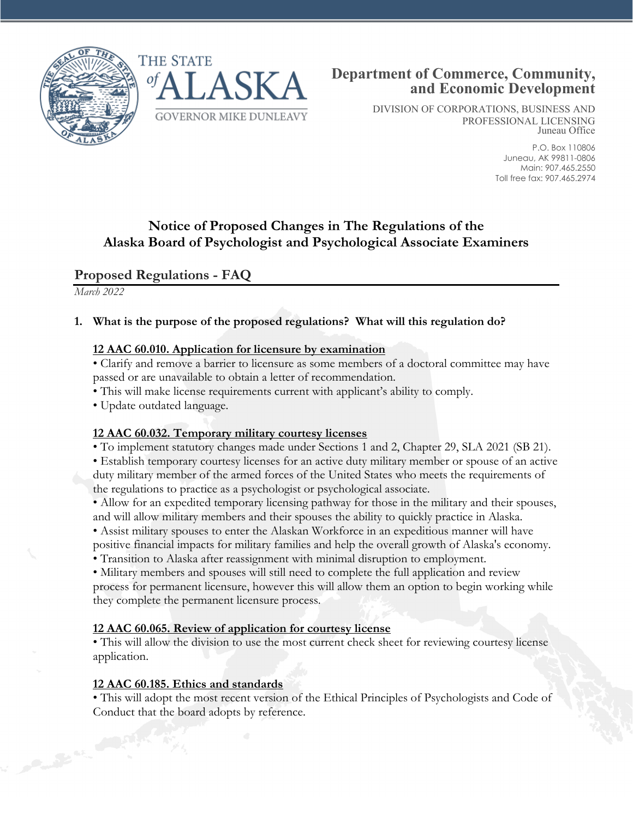



DIVISION OF CORPORATIONS, BUSINESS AND PROFESSIONAL LICENSING Juneau Office

> P.O. Box 110806 Juneau, AK 99811-0806 Main: 907.465.2550 Toll free fax: 907.465.2974

# **Notice of Proposed Changes in The Regulations of the Alaska Board of Psychologist and Psychological Associate Examiners**

## **Proposed Regulations - FAQ**

*March 2022*

### **1. What is the purpose of the proposed regulations? What will this regulation do?**

### **12 AAC 60.010. Application for licensure by examination**

• Clarify and remove a barrier to licensure as some members of a doctoral committee may have passed or are unavailable to obtain a letter of recommendation.

- This will make license requirements current with applicant's ability to comply.
- Update outdated language.

### **12 AAC 60.032. Temporary military courtesy licenses**

• To implement statutory changes made under Sections 1 and 2, Chapter 29, SLA 2021 (SB 21).

• Establish temporary courtesy licenses for an active duty military member or spouse of an active duty military member of the armed forces of the United States who meets the requirements of the regulations to practice as a psychologist or psychological associate.

• Allow for an expedited temporary licensing pathway for those in the military and their spouses, and will allow military members and their spouses the ability to quickly practice in Alaska.

• Assist military spouses to enter the Alaskan Workforce in an expeditious manner will have positive financial impacts for military families and help the overall growth of Alaska's economy.

• Transition to Alaska after reassignment with minimal disruption to employment.

• Military members and spouses will still need to complete the full application and review process for permanent licensure, however this will allow them an option to begin working while they complete the permanent licensure process.

### **12 AAC 60.065. Review of application for courtesy license**

• This will allow the division to use the most current check sheet for reviewing courtesy license application.

### **12 AAC 60.185. Ethics and standards**

• This will adopt the most recent version of the Ethical Principles of Psychologists and Code of Conduct that the board adopts by reference.